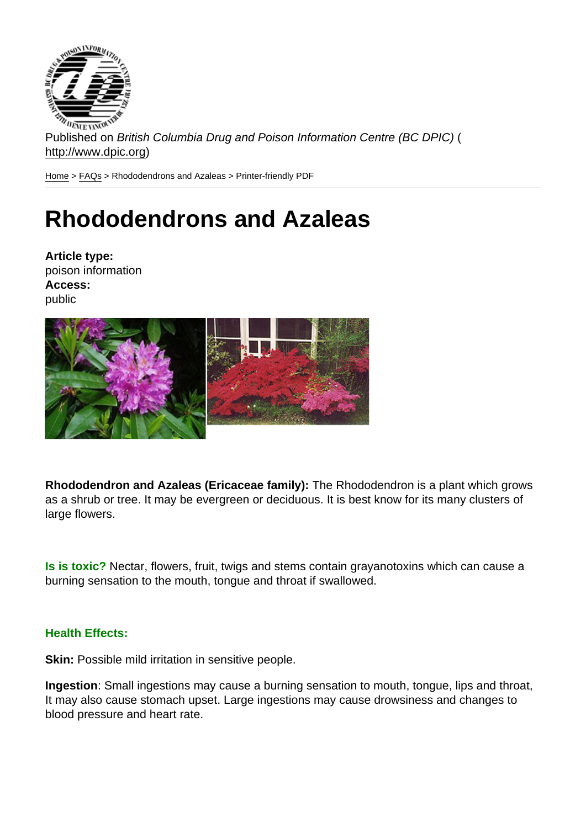Published on British Columbia Drug and Poison Information Centre (BC DPIC) ( http://www.dpic.org)

Home > FAQs > Rhododendrons and Azaleas > Printer-friendly PDF

## [Rh](http://www.dpic.org/)[od](http://www.dpic.org/faq)odendrons and Azaleas

Article type: poison information Access: public

Rhododendron and Azaleas (Ericaceae family): The Rhododendron is a plant which grows as a shrub or tree. It may be evergreen or deciduous. It is best know for its many clusters of large flowers.

Is is toxic? Nectar, flowers, fruit, twigs and stems contain grayanotoxins which can cause a burning sensation to the mouth, tongue and throat if swallowed.

## Health Effects:

Skin: Possible mild irritation in sensitive people.

Ingestion : Small ingestions may cause a burning sensation to mouth, tongue, lips and throat, It may also cause stomach upset. Large ingestions may cause drowsiness and changes to blood pressure and heart rate.